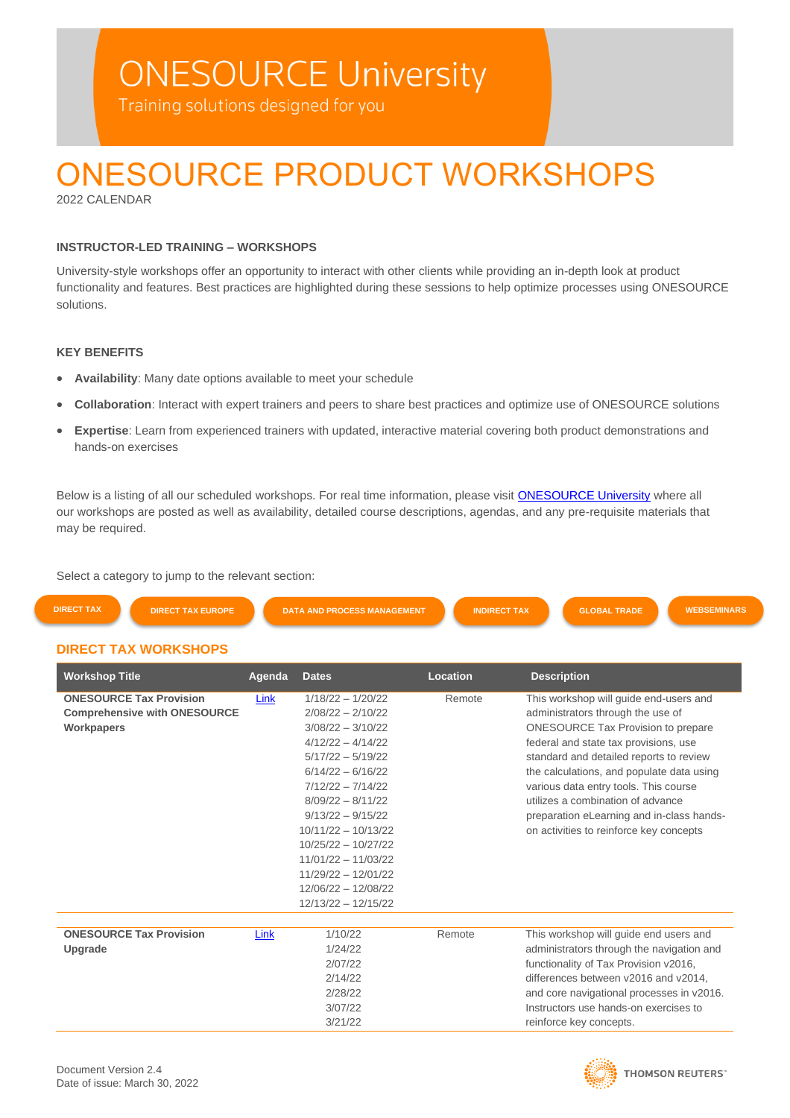# **ONESOURCE University**

Training solutions designed for you

# ONESOURCE PRODUCT WORKSHOPS

2022 CALENDAR

### **INSTRUCTOR-LED TRAINING – WORKSHOPS**

University-style workshops offer an opportunity to interact with other clients while providing an in-depth look at product functionality and features. Best practices are highlighted during these sessions to help optimize processes using ONESOURCE solutions.

### **KEY BENEFITS**

- **Availability**: Many date options available to meet your schedule
- **Collaboration**: Interact with expert trainers and peers to share best practices and optimize use of ONESOURCE solutions
- **Expertise**: Learn from experienced trainers with updated, interactive material covering both product demonstrations and hands-on exercises

Below is a listing of all our scheduled workshops. For real time information, please visit **[ONESOURCE University](https://onesourceuniversity.thomsonreuters.com/learn/catalog/view/20)** where all our workshops are posted as well as availability, detailed course descriptions, agendas, and any pre-requisite materials that may be required.

Select a category to jump to the relevant section:

| <b>DIRECT TAX</b> | <b>DIRECT TAX EUROPE</b>     | <b>DATA AND PROCESS MANAGEMENT</b> | <b>INDIRECT TAX</b> | <b>GLOBAL TRADE</b> | <b>WEBSEMINARS</b> |
|-------------------|------------------------------|------------------------------------|---------------------|---------------------|--------------------|
|                   | <b>DIDECT TAV MODIZOUODE</b> |                                    |                     |                     |                    |

## <span id="page-0-0"></span>**DIRECT TAX WORKSHOPS**

| <b>Workshop Title</b>               | Agenda | <b>Dates</b>          | Location | <b>Description</b>                        |
|-------------------------------------|--------|-----------------------|----------|-------------------------------------------|
| <b>ONESOURCE Tax Provision</b>      | Link   | $1/18/22 - 1/20/22$   | Remote   | This workshop will guide end-users and    |
| <b>Comprehensive with ONESOURCE</b> |        | $2/08/22 - 2/10/22$   |          | administrators through the use of         |
| <b>Workpapers</b>                   |        | $3/08/22 - 3/10/22$   |          | <b>ONESOURCE Tax Provision to prepare</b> |
|                                     |        | $4/12/22 - 4/14/22$   |          | federal and state tax provisions, use     |
|                                     |        | $5/17/22 - 5/19/22$   |          | standard and detailed reports to review   |
|                                     |        | $6/14/22 - 6/16/22$   |          | the calculations, and populate data using |
|                                     |        | $7/12/22 - 7/14/22$   |          | various data entry tools. This course     |
|                                     |        | $8/09/22 - 8/11/22$   |          | utilizes a combination of advance         |
|                                     |        | $9/13/22 - 9/15/22$   |          | preparation eLearning and in-class hands- |
|                                     |        | $10/11/22 - 10/13/22$ |          | on activities to reinforce key concepts   |
|                                     |        | $10/25/22 - 10/27/22$ |          |                                           |
|                                     |        | $11/01/22 - 11/03/22$ |          |                                           |
|                                     |        | $11/29/22 - 12/01/22$ |          |                                           |
|                                     |        | $12/06/22 - 12/08/22$ |          |                                           |
|                                     |        | $12/13/22 - 12/15/22$ |          |                                           |
| <b>ONESOURCE Tax Provision</b>      | Link   | 1/10/22               | Remote   | This workshop will guide end users and    |
| Upgrade                             |        | 1/24/22               |          | administrators through the navigation and |
|                                     |        | 2/07/22               |          | functionality of Tax Provision v2016,     |
|                                     |        | 2/14/22               |          | differences between v2016 and v2014.      |
|                                     |        | 2/28/22               |          | and core navigational processes in v2016. |
|                                     |        | 3/07/22               |          | Instructors use hands-on exercises to     |
|                                     |        | 3/21/22               |          | reinforce key concepts.                   |

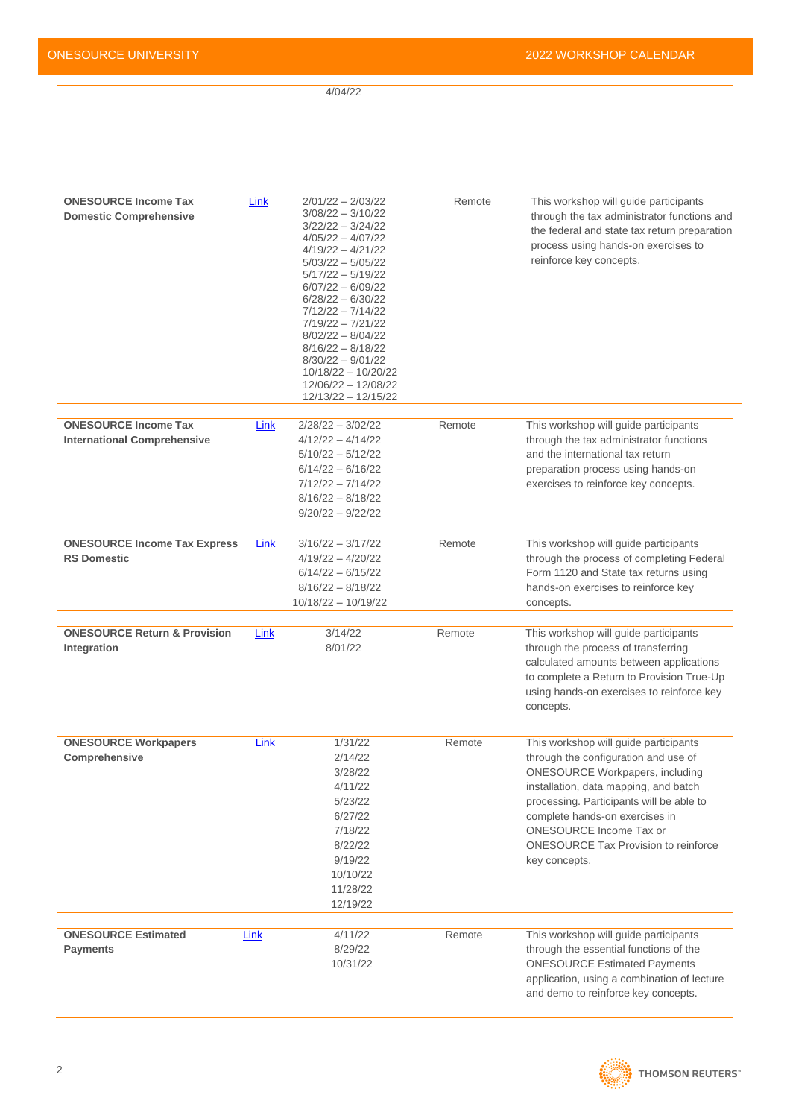4/04/22

| <b>ONESOURCE Income Tax</b><br><b>Domestic Comprehensive</b>      | Link | $2/01/22 - 2/03/22$<br>$3/08/22 - 3/10/22$<br>$3/22/22 - 3/24/22$<br>$4/05/22 - 4/07/22$<br>$4/19/22 - 4/21/22$<br>$5/03/22 - 5/05/22$<br>$5/17/22 - 5/19/22$<br>$6/07/22 - 6/09/22$<br>$6/28/22 - 6/30/22$<br>$7/12/22 - 7/14/22$<br>$7/19/22 - 7/21/22$<br>$8/02/22 - 8/04/22$<br>$8/16/22 - 8/18/22$<br>$8/30/22 - 9/01/22$<br>10/18/22 - 10/20/22<br>12/06/22 - 12/08/22<br>12/13/22 - 12/15/22 | Remote | This workshop will guide participants<br>through the tax administrator functions and<br>the federal and state tax return preparation<br>process using hands-on exercises to<br>reinforce key concepts.                                                                                                                                           |
|-------------------------------------------------------------------|------|-----------------------------------------------------------------------------------------------------------------------------------------------------------------------------------------------------------------------------------------------------------------------------------------------------------------------------------------------------------------------------------------------------|--------|--------------------------------------------------------------------------------------------------------------------------------------------------------------------------------------------------------------------------------------------------------------------------------------------------------------------------------------------------|
| <b>ONESOURCE Income Tax</b><br><b>International Comprehensive</b> | Link | $2/28/22 - 3/02/22$<br>$4/12/22 - 4/14/22$<br>$5/10/22 - 5/12/22$<br>$6/14/22 - 6/16/22$<br>$7/12/22 - 7/14/22$<br>$8/16/22 - 8/18/22$<br>$9/20/22 - 9/22/22$                                                                                                                                                                                                                                       | Remote | This workshop will guide participants<br>through the tax administrator functions<br>and the international tax return<br>preparation process using hands-on<br>exercises to reinforce key concepts.                                                                                                                                               |
| <b>ONESOURCE Income Tax Express</b><br><b>RS Domestic</b>         | Link | $3/16/22 - 3/17/22$<br>$4/19/22 - 4/20/22$<br>$6/14/22 - 6/15/22$<br>$8/16/22 - 8/18/22$<br>$10/18/22 - 10/19/22$                                                                                                                                                                                                                                                                                   | Remote | This workshop will guide participants<br>through the process of completing Federal<br>Form 1120 and State tax returns using<br>hands-on exercises to reinforce key<br>concepts.                                                                                                                                                                  |
| <b>ONESOURCE Return &amp; Provision</b><br>Integration            | Link | 3/14/22<br>8/01/22                                                                                                                                                                                                                                                                                                                                                                                  | Remote | This workshop will guide participants<br>through the process of transferring<br>calculated amounts between applications<br>to complete a Return to Provision True-Up<br>using hands-on exercises to reinforce key<br>concepts.                                                                                                                   |
| <b>ONESOURCE Workpapers</b><br>Comprehensive                      | Link | 1/31/22<br>2/14/22<br>3/28/22<br>4/11/22<br>5/23/22<br>6/27/22<br>7/18/22<br>8/22/22<br>9/19/22<br>10/10/22<br>11/28/22<br>12/19/22                                                                                                                                                                                                                                                                 | Remote | This workshop will guide participants<br>through the configuration and use of<br><b>ONESOURCE Workpapers, including</b><br>installation, data mapping, and batch<br>processing. Participants will be able to<br>complete hands-on exercises in<br><b>ONESOURCE Income Tax or</b><br><b>ONESOURCE Tax Provision to reinforce</b><br>key concepts. |
| <b>ONESOURCE Estimated</b><br><b>Payments</b>                     | Link | 4/11/22<br>8/29/22<br>10/31/22                                                                                                                                                                                                                                                                                                                                                                      | Remote | This workshop will guide participants<br>through the essential functions of the<br><b>ONESOURCE Estimated Payments</b><br>application, using a combination of lecture<br>and demo to reinforce key concepts.                                                                                                                                     |

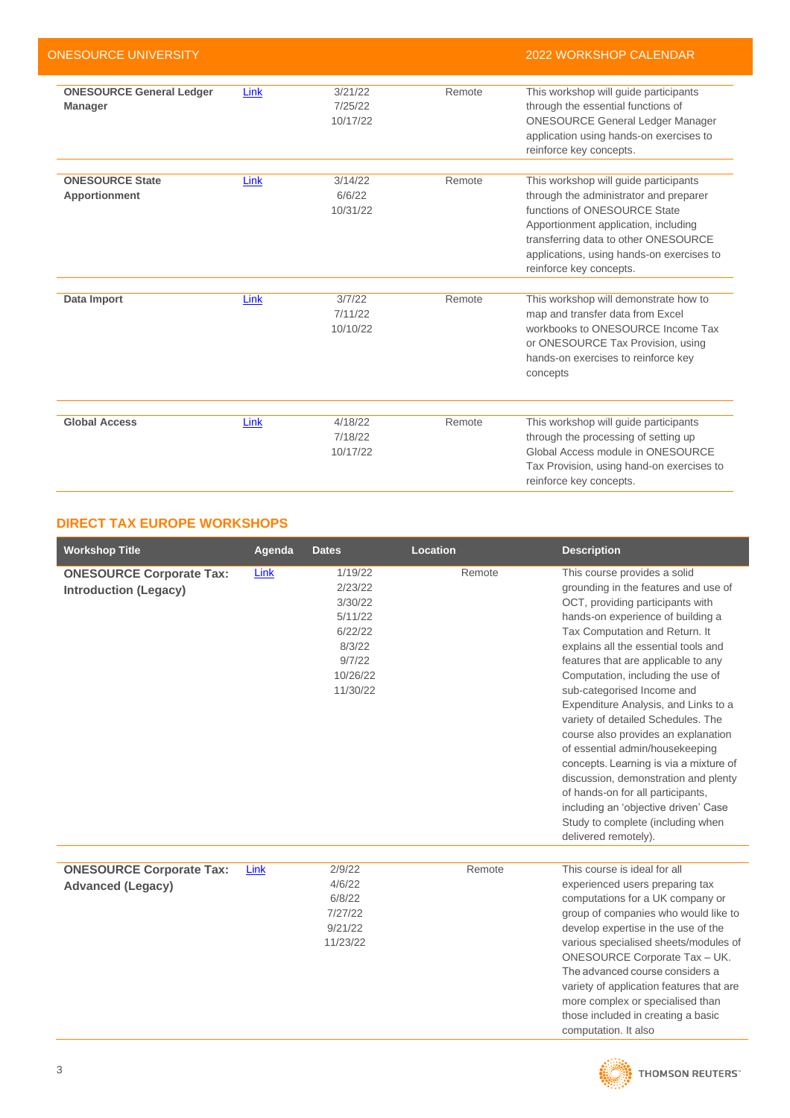| ONESOURCE UNIVERSITY                              |      |                                |        | <b>2022 WORKSHOP CALENDAR</b>                                                                                                                                                                                                                                           |
|---------------------------------------------------|------|--------------------------------|--------|-------------------------------------------------------------------------------------------------------------------------------------------------------------------------------------------------------------------------------------------------------------------------|
| <b>ONESOURCE General Ledger</b><br><b>Manager</b> | Link | 3/21/22<br>7/25/22<br>10/17/22 | Remote | This workshop will guide participants<br>through the essential functions of<br><b>ONESOURCE General Ledger Manager</b><br>application using hands-on exercises to<br>reinforce key concepts.                                                                            |
| <b>ONESOURCE State</b><br>Apportionment           | Link | 3/14/22<br>6/6/22<br>10/31/22  | Remote | This workshop will guide participants<br>through the administrator and preparer<br>functions of ONESOURCE State<br>Apportionment application, including<br>transferring data to other ONESOURCE<br>applications, using hands-on exercises to<br>reinforce key concepts. |
| Data Import                                       | Link | 3/7/22<br>7/11/22<br>10/10/22  | Remote | This workshop will demonstrate how to<br>map and transfer data from Excel<br>workbooks to ONESOURCE Income Tax<br>or ONESOURCE Tax Provision, using<br>hands-on exercises to reinforce key<br>concepts                                                                  |
| <b>Global Access</b>                              | Link | 4/18/22<br>7/18/22<br>10/17/22 | Remote | This workshop will guide participants<br>through the processing of setting up<br>Global Access module in ONESOURCE<br>Tax Provision, using hand-on exercises to<br>reinforce key concepts.                                                                              |

# <span id="page-2-0"></span>**DIRECT TAX EUROPE WORKSHOPS**

| <b>Workshop Title</b>                                           | Agenda | <b>Dates</b>                                                                                    | Location | <b>Description</b>                                                                                                                                                                                                                                                                                                                                                                                                                                                                                                                                                                                                                                                                                                    |
|-----------------------------------------------------------------|--------|-------------------------------------------------------------------------------------------------|----------|-----------------------------------------------------------------------------------------------------------------------------------------------------------------------------------------------------------------------------------------------------------------------------------------------------------------------------------------------------------------------------------------------------------------------------------------------------------------------------------------------------------------------------------------------------------------------------------------------------------------------------------------------------------------------------------------------------------------------|
| <b>ONESOURCE Corporate Tax:</b><br><b>Introduction (Legacy)</b> | Link   | 1/19/22<br>2/23/22<br>3/30/22<br>5/11/22<br>6/22/22<br>8/3/22<br>9/7/22<br>10/26/22<br>11/30/22 | Remote   | This course provides a solid<br>grounding in the features and use of<br>OCT, providing participants with<br>hands-on experience of building a<br>Tax Computation and Return. It<br>explains all the essential tools and<br>features that are applicable to any<br>Computation, including the use of<br>sub-categorised Income and<br>Expenditure Analysis, and Links to a<br>variety of detailed Schedules. The<br>course also provides an explanation<br>of essential admin/housekeeping<br>concepts. Learning is via a mixture of<br>discussion, demonstration and plenty<br>of hands-on for all participants,<br>including an 'objective driven' Case<br>Study to complete (including when<br>delivered remotely). |
| <b>ONESOURCE Corporate Tax:</b><br><b>Advanced (Legacy)</b>     | Link   | 2/9/22<br>4/6/22<br>6/8/22<br>7/27/22<br>9/21/22<br>11/23/22                                    | Remote   | This course is ideal for all<br>experienced users preparing tax<br>computations for a UK company or<br>group of companies who would like to<br>develop expertise in the use of the<br>various specialised sheets/modules of<br><b>ONESOURCE Corporate Tax - UK.</b><br>The advanced course considers a<br>variety of application features that are<br>more complex or specialised than<br>those included in creating a basic<br>computation. It also                                                                                                                                                                                                                                                                  |

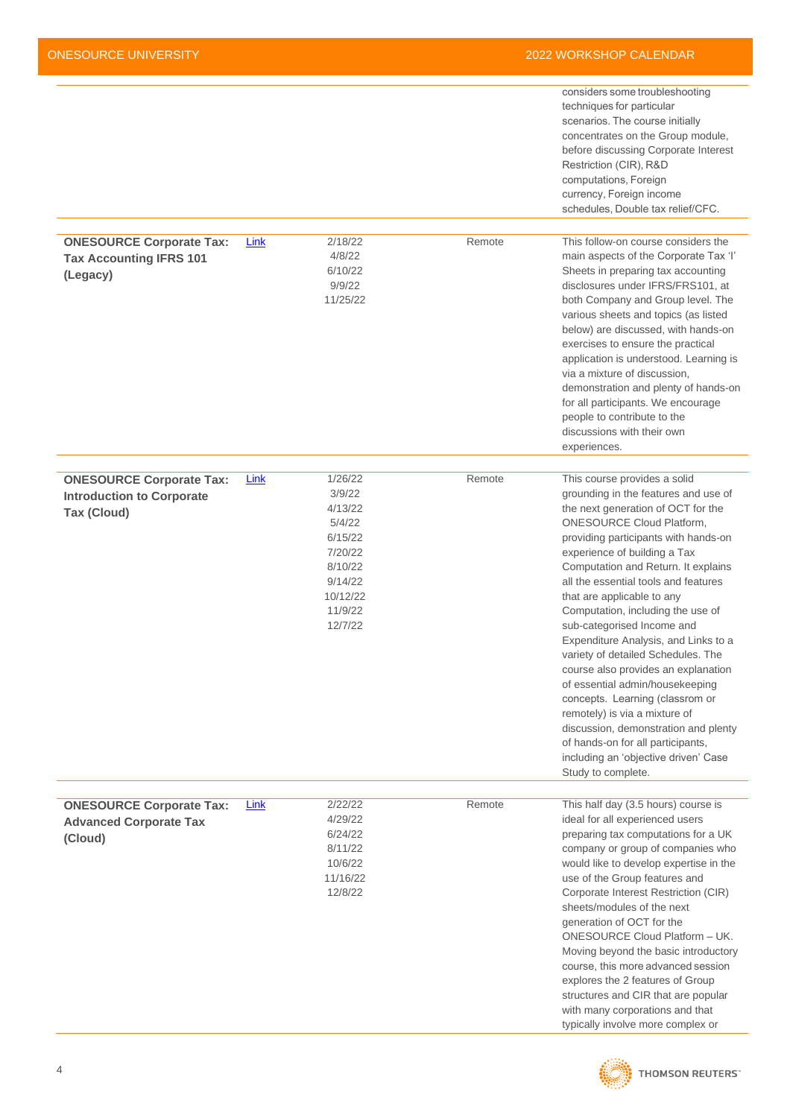|                                                                               |      |                                                                                                           |        | considers some troubleshooting<br>techniques for particular<br>scenarios. The course initially<br>concentrates on the Group module,<br>before discussing Corporate Interest<br>Restriction (CIR), R&D<br>computations, Foreign<br>currency, Foreign income<br>schedules, Double tax relief/CFC.                                                                                                                                                                                                                                                                                                                                                                                                                                               |
|-------------------------------------------------------------------------------|------|-----------------------------------------------------------------------------------------------------------|--------|-----------------------------------------------------------------------------------------------------------------------------------------------------------------------------------------------------------------------------------------------------------------------------------------------------------------------------------------------------------------------------------------------------------------------------------------------------------------------------------------------------------------------------------------------------------------------------------------------------------------------------------------------------------------------------------------------------------------------------------------------|
|                                                                               |      |                                                                                                           |        |                                                                                                                                                                                                                                                                                                                                                                                                                                                                                                                                                                                                                                                                                                                                               |
| <b>ONESOURCE Corporate Tax:</b><br><b>Tax Accounting IFRS 101</b><br>(Legacy) | Link | 2/18/22<br>4/8/22<br>6/10/22<br>9/9/22<br>11/25/22                                                        | Remote | This follow-on course considers the<br>main aspects of the Corporate Tax 'l'<br>Sheets in preparing tax accounting<br>disclosures under IFRS/FRS101, at<br>both Company and Group level. The<br>various sheets and topics (as listed<br>below) are discussed, with hands-on<br>exercises to ensure the practical<br>application is understood. Learning is<br>via a mixture of discussion,<br>demonstration and plenty of hands-on<br>for all participants. We encourage<br>people to contribute to the<br>discussions with their own<br>experiences.                                                                                                                                                                                         |
| <b>ONESOURCE Corporate Tax:</b>                                               | Link | 1/26/22                                                                                                   | Remote | This course provides a solid                                                                                                                                                                                                                                                                                                                                                                                                                                                                                                                                                                                                                                                                                                                  |
| <b>Introduction to Corporate</b><br><b>Tax (Cloud)</b>                        |      | 3/9/22<br>4/13/22<br>5/4/22<br>6/15/22<br>7/20/22<br>8/10/22<br>9/14/22<br>10/12/22<br>11/9/22<br>12/7/22 |        | grounding in the features and use of<br>the next generation of OCT for the<br><b>ONESOURCE Cloud Platform,</b><br>providing participants with hands-on<br>experience of building a Tax<br>Computation and Return. It explains<br>all the essential tools and features<br>that are applicable to any<br>Computation, including the use of<br>sub-categorised Income and<br>Expenditure Analysis, and Links to a<br>variety of detailed Schedules. The<br>course also provides an explanation<br>of essential admin/housekeeping<br>concepts. Learning (classrom or<br>remotely) is via a mixture of<br>discussion, demonstration and plenty<br>of hands-on for all participants,<br>including an 'objective driven' Case<br>Study to complete. |
|                                                                               |      | 2/22/22                                                                                                   | Remote |                                                                                                                                                                                                                                                                                                                                                                                                                                                                                                                                                                                                                                                                                                                                               |
| <b>ONESOURCE Corporate Tax:</b><br><b>Advanced Corporate Tax</b><br>(Cloud)   | Link | 4/29/22<br>6/24/22<br>8/11/22<br>10/6/22<br>11/16/22<br>12/8/22                                           |        | This half day (3.5 hours) course is<br>ideal for all experienced users<br>preparing tax computations for a UK<br>company or group of companies who<br>would like to develop expertise in the<br>use of the Group features and<br>Corporate Interest Restriction (CIR)<br>sheets/modules of the next<br>generation of OCT for the<br>ONESOURCE Cloud Platform - UK.<br>Moving beyond the basic introductory<br>course, this more advanced session<br>explores the 2 features of Group<br>structures and CIR that are popular<br>with many corporations and that<br>typically involve more complex or                                                                                                                                           |

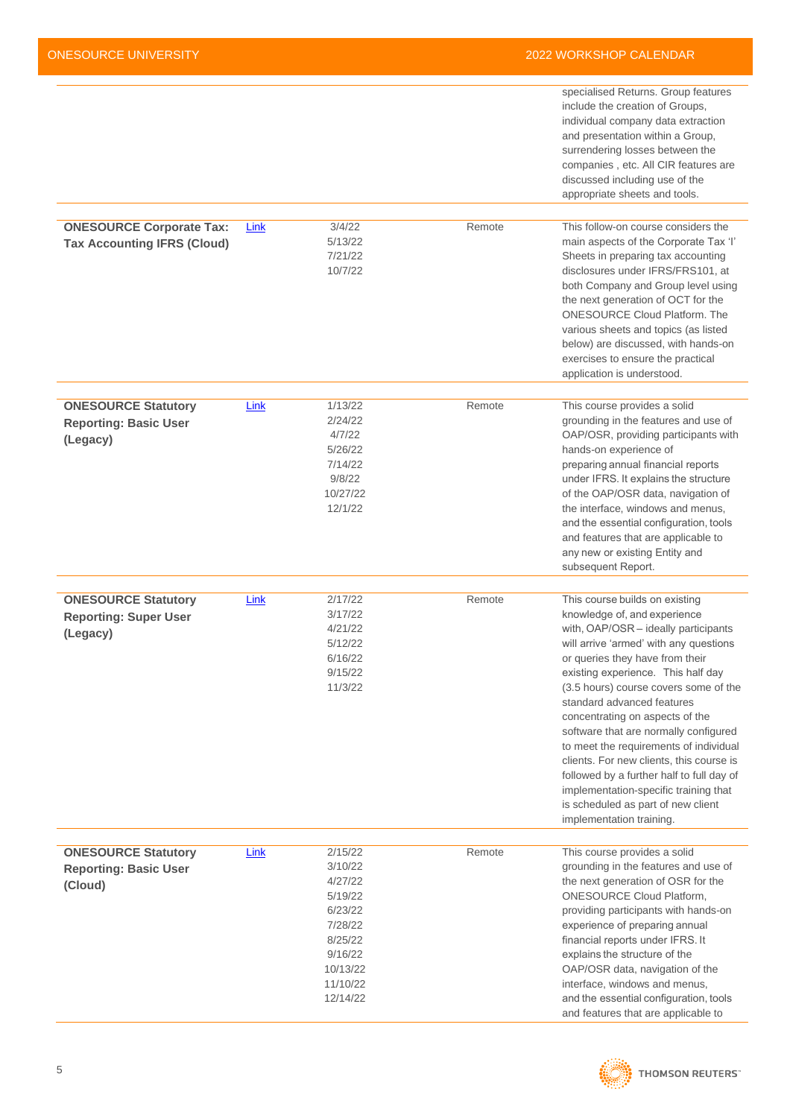|                                                                        |      |                                                                                                                          |        | specialised Returns. Group features<br>include the creation of Groups,<br>individual company data extraction<br>and presentation within a Group,<br>surrendering losses between the<br>companies, etc. All CIR features are<br>discussed including use of the<br>appropriate sheets and tools.                                                                                                                                                                                                                                                                                                                             |
|------------------------------------------------------------------------|------|--------------------------------------------------------------------------------------------------------------------------|--------|----------------------------------------------------------------------------------------------------------------------------------------------------------------------------------------------------------------------------------------------------------------------------------------------------------------------------------------------------------------------------------------------------------------------------------------------------------------------------------------------------------------------------------------------------------------------------------------------------------------------------|
| <b>ONESOURCE Corporate Tax:</b><br><b>Tax Accounting IFRS (Cloud)</b>  | Link | 3/4/22<br>5/13/22<br>7/21/22<br>10/7/22                                                                                  | Remote | This follow-on course considers the<br>main aspects of the Corporate Tax 'l'<br>Sheets in preparing tax accounting<br>disclosures under IFRS/FRS101, at<br>both Company and Group level using<br>the next generation of OCT for the<br><b>ONESOURCE Cloud Platform. The</b><br>various sheets and topics (as listed<br>below) are discussed, with hands-on<br>exercises to ensure the practical<br>application is understood.                                                                                                                                                                                              |
| <b>ONESOURCE Statutory</b><br><b>Reporting: Basic User</b><br>(Legacy) | Link | 1/13/22<br>2/24/22<br>4/7/22<br>5/26/22<br>7/14/22<br>9/8/22<br>10/27/22<br>12/1/22                                      | Remote | This course provides a solid<br>grounding in the features and use of<br>OAP/OSR, providing participants with<br>hands-on experience of<br>preparing annual financial reports<br>under IFRS. It explains the structure<br>of the OAP/OSR data, navigation of<br>the interface, windows and menus,<br>and the essential configuration, tools<br>and features that are applicable to<br>any new or existing Entity and<br>subsequent Report.                                                                                                                                                                                  |
| <b>ONESOURCE Statutory</b><br><b>Reporting: Super User</b><br>(Legacy) | Link | 2/17/22<br>3/17/22<br>4/21/22<br>5/12/22<br>6/16/22<br>9/15/22<br>11/3/22                                                | Remote | This course builds on existing<br>knowledge of, and experience<br>with, OAP/OSR - ideally participants<br>will arrive 'armed' with any questions<br>or queries they have from their<br>existing experience. This half day<br>(3.5 hours) course covers some of the<br>standard advanced features<br>concentrating on aspects of the<br>software that are normally configured<br>to meet the requirements of individual<br>clients. For new clients, this course is<br>followed by a further half to full day of<br>implementation-specific training that<br>is scheduled as part of new client<br>implementation training. |
| <b>ONESOURCE Statutory</b><br><b>Reporting: Basic User</b><br>(Cloud)  | Link | 2/15/22<br>3/10/22<br>4/27/22<br>5/19/22<br>6/23/22<br>7/28/22<br>8/25/22<br>9/16/22<br>10/13/22<br>11/10/22<br>12/14/22 | Remote | This course provides a solid<br>grounding in the features and use of<br>the next generation of OSR for the<br><b>ONESOURCE Cloud Platform,</b><br>providing participants with hands-on<br>experience of preparing annual<br>financial reports under IFRS. It<br>explains the structure of the<br>OAP/OSR data, navigation of the<br>interface, windows and menus,<br>and the essential configuration, tools<br>and features that are applicable to                                                                                                                                                                         |

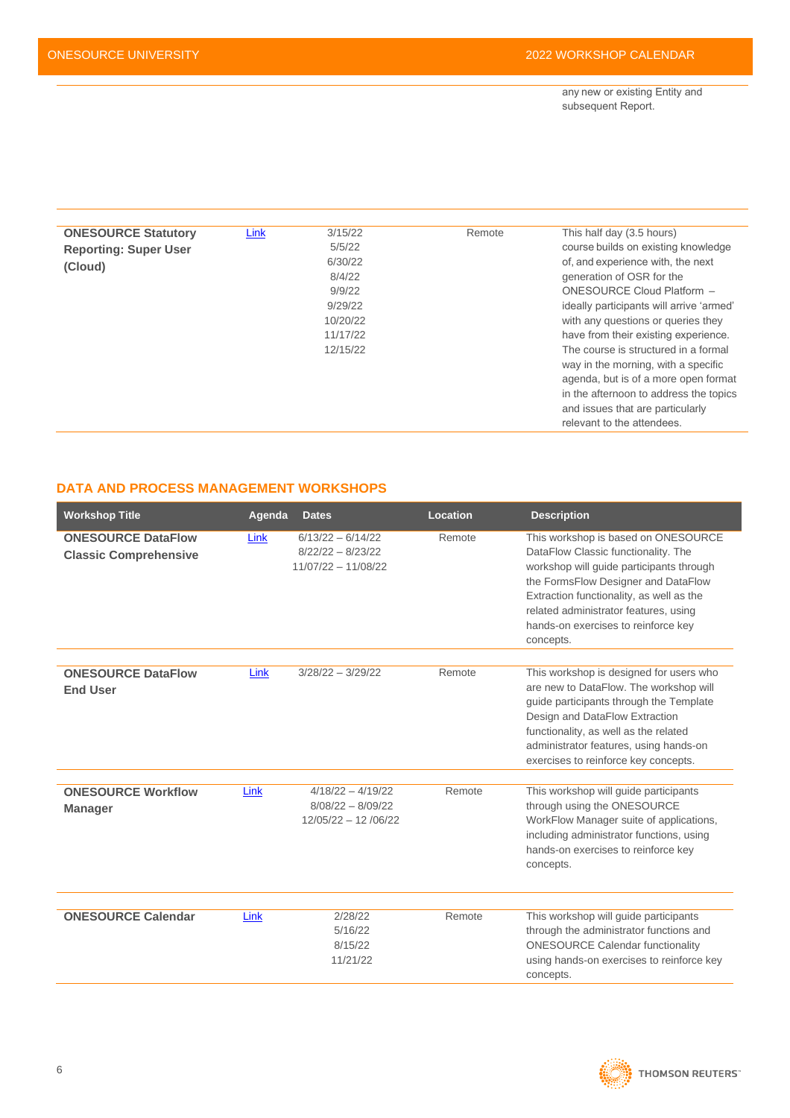any new or existing Entity and subsequent Report.  

| <b>ONESOURCE Statutory</b>   | Link | 3/15/22  | Remote | This half day (3.5 hours)                |
|------------------------------|------|----------|--------|------------------------------------------|
| <b>Reporting: Super User</b> |      | 5/5/22   |        | course builds on existing knowledge      |
| (Cloud)                      |      | 6/30/22  |        | of, and experience with, the next        |
|                              |      | 8/4/22   |        | generation of OSR for the                |
|                              |      | 9/9/22   |        | ONESOURCE Cloud Platform -               |
|                              |      | 9/29/22  |        | ideally participants will arrive 'armed' |
|                              |      | 10/20/22 |        | with any questions or queries they       |
|                              |      | 11/17/22 |        | have from their existing experience.     |
|                              |      | 12/15/22 |        | The course is structured in a formal     |
|                              |      |          |        | way in the morning, with a specific      |
|                              |      |          |        | agenda, but is of a more open format     |
|                              |      |          |        | in the afternoon to address the topics   |
|                              |      |          |        | and issues that are particularly         |
|                              |      |          |        | relevant to the attendees.               |

# <span id="page-5-0"></span>**DATA AND PROCESS MANAGEMENT WORKSHOPS**

| <b>Workshop Title</b>                                     | Agenda | <b>Dates</b>                                                        | Location | <b>Description</b>                                                                                                                                                                                                                                                                                     |
|-----------------------------------------------------------|--------|---------------------------------------------------------------------|----------|--------------------------------------------------------------------------------------------------------------------------------------------------------------------------------------------------------------------------------------------------------------------------------------------------------|
| <b>ONESOURCE DataFlow</b><br><b>Classic Comprehensive</b> | Link   | $6/13/22 - 6/14/22$<br>$8/22/22 - 8/23/22$<br>$11/07/22 - 11/08/22$ | Remote   | This workshop is based on ONESOURCE<br>DataFlow Classic functionality. The<br>workshop will quide participants through<br>the FormsFlow Designer and DataFlow<br>Extraction functionality, as well as the<br>related administrator features, using<br>hands-on exercises to reinforce key<br>concepts. |
| <b>ONESOURCE DataFlow</b><br><b>End User</b>              | Link   | $3/28/22 - 3/29/22$                                                 | Remote   | This workshop is designed for users who<br>are new to DataFlow. The workshop will<br>guide participants through the Template<br>Design and DataFlow Extraction<br>functionality, as well as the related<br>administrator features, using hands-on<br>exercises to reinforce key concepts.              |
| <b>ONESOURCE Workflow</b><br><b>Manager</b>               | Link   | $4/18/22 - 4/19/22$<br>$8/08/22 - 8/09/22$<br>$12/05/22 - 12/06/22$ | Remote   | This workshop will guide participants<br>through using the ONESOURCE<br>WorkFlow Manager suite of applications,<br>including administrator functions, using<br>hands-on exercises to reinforce key<br>concepts.                                                                                        |
| <b>ONESOURCE Calendar</b>                                 | Link   | 2/28/22<br>5/16/22<br>8/15/22<br>11/21/22                           | Remote   | This workshop will guide participants<br>through the administrator functions and<br><b>ONESOURCE Calendar functionality</b><br>using hands-on exercises to reinforce key<br>concepts.                                                                                                                  |

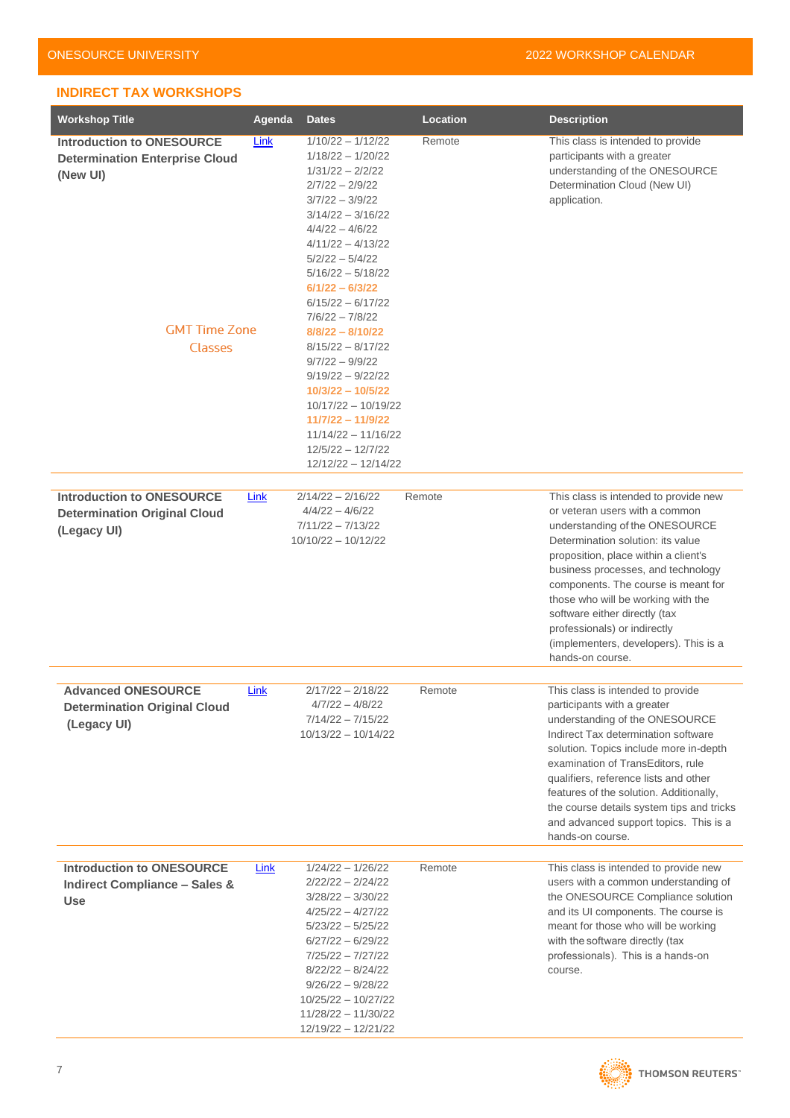## <span id="page-6-0"></span>**INDIRECT TAX WORKSHOPS**

| <b>Workshop Title</b>                                                                                                    | Agenda | <b>Dates</b>                                                                                                                                                                                                                                                                                                                                                                                                                                                                                                                      | Location | <b>Description</b>                                                                                                                                                                                                                                                                                                                                                                                                                      |
|--------------------------------------------------------------------------------------------------------------------------|--------|-----------------------------------------------------------------------------------------------------------------------------------------------------------------------------------------------------------------------------------------------------------------------------------------------------------------------------------------------------------------------------------------------------------------------------------------------------------------------------------------------------------------------------------|----------|-----------------------------------------------------------------------------------------------------------------------------------------------------------------------------------------------------------------------------------------------------------------------------------------------------------------------------------------------------------------------------------------------------------------------------------------|
| <b>Introduction to ONESOURCE</b><br><b>Determination Enterprise Cloud</b><br>(New UI)<br><b>GMT Time Zone</b><br>Classes | Link   | $1/10/22 - 1/12/22$<br>$1/18/22 - 1/20/22$<br>$1/31/22 - 2/2/22$<br>$2/7/22 - 2/9/22$<br>$3/7/22 - 3/9/22$<br>$3/14/22 - 3/16/22$<br>$4/4/22 - 4/6/22$<br>$4/11/22 - 4/13/22$<br>$5/2/22 - 5/4/22$<br>$5/16/22 - 5/18/22$<br>$6/1/22 - 6/3/22$<br>$6/15/22 - 6/17/22$<br>$7/6/22 - 7/8/22$<br>$8/8/22 - 8/10/22$<br>$8/15/22 - 8/17/22$<br>$9/7/22 - 9/9/22$<br>$9/19/22 - 9/22/22$<br>$10/3/22 - 10/5/22$<br>$10/17/22 - 10/19/22$<br>11/7/22 - 11/9/22<br>$11/14/22 - 11/16/22$<br>$12/5/22 - 12/7/22$<br>$12/12/22 - 12/14/22$ | Remote   | This class is intended to provide<br>participants with a greater<br>understanding of the ONESOURCE<br>Determination Cloud (New UI)<br>application.                                                                                                                                                                                                                                                                                      |
| <b>Introduction to ONESOURCE</b><br><b>Determination Original Cloud</b><br>(Legacy UI)                                   | Link   | $2/14/22 - 2/16/22$<br>$4/4/22 - 4/6/22$<br>$7/11/22 - 7/13/22$<br>$10/10/22 - 10/12/22$                                                                                                                                                                                                                                                                                                                                                                                                                                          | Remote   | This class is intended to provide new<br>or veteran users with a common<br>understanding of the ONESOURCE<br>Determination solution: its value<br>proposition, place within a client's<br>business processes, and technology<br>components. The course is meant for<br>those who will be working with the<br>software either directly (tax<br>professionals) or indirectly<br>(implementers, developers). This is a<br>hands-on course. |
| <b>Advanced ONESOURCE</b><br><b>Determination Original Cloud</b><br>(Legacy UI)                                          | Link   | $2/17/22 - 2/18/22$<br>$4/7/22 - 4/8/22$<br>$7/14/22 - 7/15/22$<br>$10/13/22 - 10/14/22$                                                                                                                                                                                                                                                                                                                                                                                                                                          | Remote   | This class is intended to provide<br>participants with a greater<br>understanding of the ONESOURCE<br>Indirect Tax determination software<br>solution. Topics include more in-depth<br>examination of TransEditors, rule<br>qualifiers, reference lists and other<br>features of the solution. Additionally,<br>the course details system tips and tricks<br>and advanced support topics. This is a<br>hands-on course.                 |
| <b>Introduction to ONESOURCE</b><br><b>Indirect Compliance - Sales &amp;</b><br><b>Use</b>                               | Link   | $1/24/22 - 1/26/22$<br>$2/22/22 - 2/24/22$<br>$3/28/22 - 3/30/22$<br>$4/25/22 - 4/27/22$<br>$5/23/22 - 5/25/22$<br>$6/27/22 - 6/29/22$<br>7/25/22 - 7/27/22<br>$8/22/22 - 8/24/22$<br>$9/26/22 - 9/28/22$<br>$10/25/22 - 10/27/22$<br>$11/28/22 - 11/30/22$<br>12/19/22 - 12/21/22                                                                                                                                                                                                                                                | Remote   | This class is intended to provide new<br>users with a common understanding of<br>the ONESOURCE Compliance solution<br>and its UI components. The course is<br>meant for those who will be working<br>with the software directly (tax<br>professionals). This is a hands-on<br>course.                                                                                                                                                   |

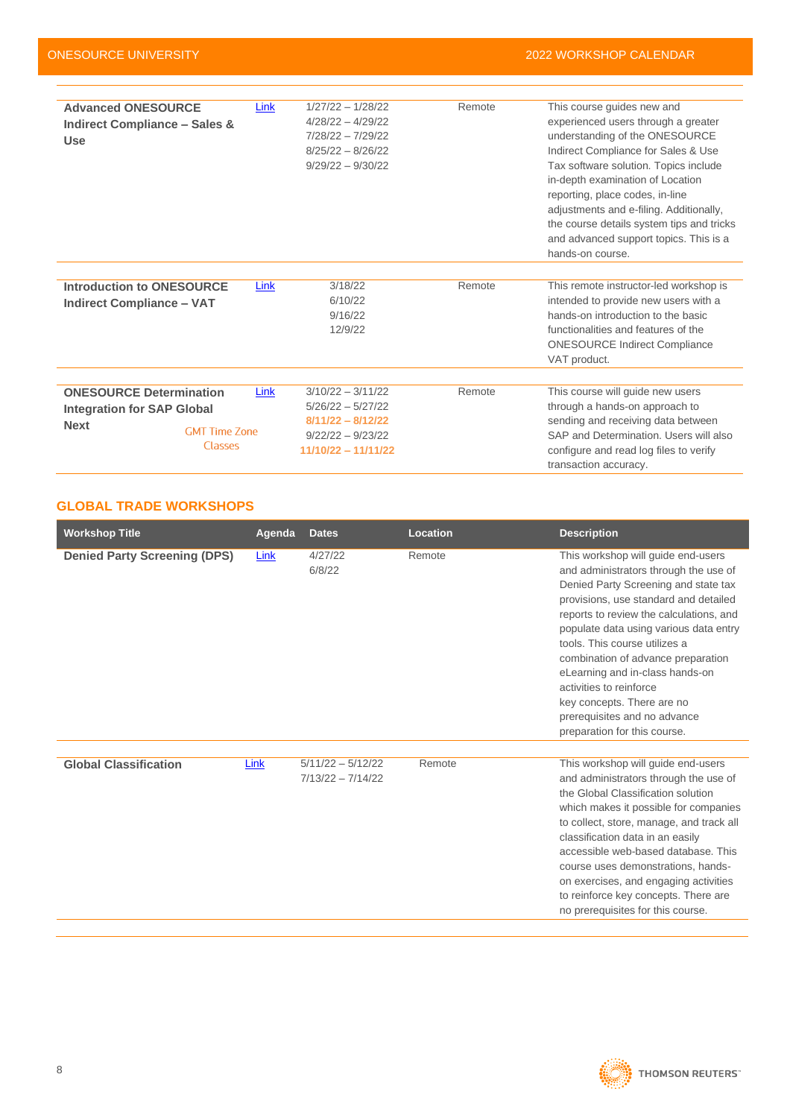| <b>Advanced ONESOURCE</b><br><b>Indirect Compliance - Sales &amp;</b><br><b>Use</b> | Link                                           | $1/27/22 - 1/28/22$<br>$4/28/22 - 4/29/22$<br>7/28/22 - 7/29/22<br>$8/25/22 - 8/26/22$<br>$9/29/22 - 9/30/22$     | Remote | This course guides new and<br>experienced users through a greater<br>understanding of the ONESOURCE<br>Indirect Compliance for Sales & Use<br>Tax software solution. Topics include<br>in-depth examination of Location<br>reporting, place codes, in-line<br>adjustments and e-filing. Additionally,<br>the course details system tips and tricks<br>and advanced support topics. This is a<br>hands-on course. |
|-------------------------------------------------------------------------------------|------------------------------------------------|-------------------------------------------------------------------------------------------------------------------|--------|------------------------------------------------------------------------------------------------------------------------------------------------------------------------------------------------------------------------------------------------------------------------------------------------------------------------------------------------------------------------------------------------------------------|
|                                                                                     |                                                |                                                                                                                   |        |                                                                                                                                                                                                                                                                                                                                                                                                                  |
| <b>Introduction to ONESOURCE</b><br><b>Indirect Compliance - VAT</b>                | Link                                           | 3/18/22<br>6/10/22<br>9/16/22<br>12/9/22                                                                          | Remote | This remote instructor-led workshop is<br>intended to provide new users with a<br>hands-on introduction to the basic<br>functionalities and features of the<br><b>ONESOURCE Indirect Compliance</b><br>VAT product.                                                                                                                                                                                              |
|                                                                                     |                                                |                                                                                                                   |        |                                                                                                                                                                                                                                                                                                                                                                                                                  |
| <b>ONESOURCE Determination</b><br><b>Integration for SAP Global</b><br><b>Next</b>  | Link<br><b>GMT Time Zone</b><br><b>Classes</b> | $3/10/22 - 3/11/22$<br>$5/26/22 - 5/27/22$<br>$8/11/22 - 8/12/22$<br>$9/22/22 - 9/23/22$<br>$11/10/22 - 11/11/22$ | Remote | This course will guide new users<br>through a hands-on approach to<br>sending and receiving data between<br>SAP and Determination. Users will also<br>configure and read log files to verify<br>transaction accuracy.                                                                                                                                                                                            |

# <span id="page-7-0"></span>**GLOBAL TRADE WORKSHOPS**

| <b>Workshop Title</b>               | Agenda | <b>Dates</b>                               | Location | <b>Description</b>                                                                                                                                                                                                                                                                                                                                                                                                                                                                   |
|-------------------------------------|--------|--------------------------------------------|----------|--------------------------------------------------------------------------------------------------------------------------------------------------------------------------------------------------------------------------------------------------------------------------------------------------------------------------------------------------------------------------------------------------------------------------------------------------------------------------------------|
| <b>Denied Party Screening (DPS)</b> | Link   | 4/27/22<br>6/8/22                          | Remote   | This workshop will guide end-users<br>and administrators through the use of<br>Denied Party Screening and state tax<br>provisions, use standard and detailed<br>reports to review the calculations, and<br>populate data using various data entry<br>tools. This course utilizes a<br>combination of advance preparation<br>eLearning and in-class hands-on<br>activities to reinforce<br>key concepts. There are no<br>prerequisites and no advance<br>preparation for this course. |
| <b>Global Classification</b>        | Link   | $5/11/22 - 5/12/22$<br>$7/13/22 - 7/14/22$ | Remote   | This workshop will guide end-users<br>and administrators through the use of<br>the Global Classification solution<br>which makes it possible for companies<br>to collect, store, manage, and track all<br>classification data in an easily<br>accessible web-based database. This<br>course uses demonstrations, hands-<br>on exercises, and engaging activities<br>to reinforce key concepts. There are<br>no prerequisites for this course.                                        |

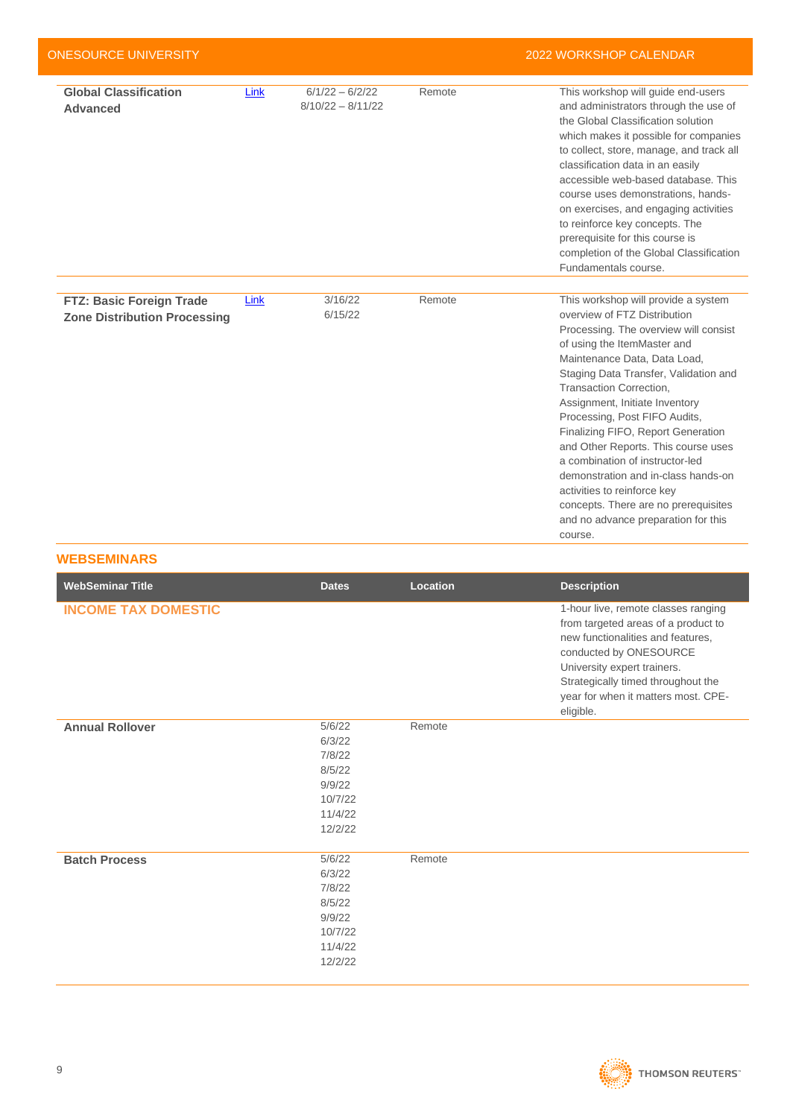| <b>ONESOURCE UNIVERSITY</b>                                     |      |                                          |        | <b>2022 WORKSHOP CALENDAR</b>                                                                                                                                                                                                                                                                                                                                                                                                                                                                                                                                                                      |
|-----------------------------------------------------------------|------|------------------------------------------|--------|----------------------------------------------------------------------------------------------------------------------------------------------------------------------------------------------------------------------------------------------------------------------------------------------------------------------------------------------------------------------------------------------------------------------------------------------------------------------------------------------------------------------------------------------------------------------------------------------------|
| <b>Global Classification</b><br><b>Advanced</b>                 | Link | $6/1/22 - 6/2/22$<br>$8/10/22 - 8/11/22$ | Remote | This workshop will guide end-users<br>and administrators through the use of<br>the Global Classification solution<br>which makes it possible for companies<br>to collect, store, manage, and track all<br>classification data in an easily<br>accessible web-based database. This<br>course uses demonstrations, hands-<br>on exercises, and engaging activities<br>to reinforce key concepts. The<br>prerequisite for this course is<br>completion of the Global Classification<br>Fundamentals course.                                                                                           |
|                                                                 |      |                                          |        |                                                                                                                                                                                                                                                                                                                                                                                                                                                                                                                                                                                                    |
| FTZ: Basic Foreign Trade<br><b>Zone Distribution Processing</b> | Link | 3/16/22<br>6/15/22                       | Remote | This workshop will provide a system<br>overview of FTZ Distribution<br>Processing. The overview will consist<br>of using the ItemMaster and<br>Maintenance Data, Data Load,<br>Staging Data Transfer, Validation and<br>Transaction Correction.<br>Assignment, Initiate Inventory<br>Processing, Post FIFO Audits,<br>Finalizing FIFO, Report Generation<br>and Other Reports. This course uses<br>a combination of instructor-led<br>demonstration and in-class hands-on<br>activities to reinforce key<br>concepts. There are no prerequisites<br>and no advance preparation for this<br>course. |

#### <span id="page-8-0"></span>**WEBSEMINARS**

| <b>WebSeminar Title</b>    | <b>Dates</b>                                                                    | Location | <b>Description</b>                                                                                                                                                                                                                                                 |
|----------------------------|---------------------------------------------------------------------------------|----------|--------------------------------------------------------------------------------------------------------------------------------------------------------------------------------------------------------------------------------------------------------------------|
| <b>INCOME TAX DOMESTIC</b> |                                                                                 |          | 1-hour live, remote classes ranging<br>from targeted areas of a product to<br>new functionalities and features,<br>conducted by ONESOURCE<br>University expert trainers.<br>Strategically timed throughout the<br>year for when it matters most. CPE-<br>eligible. |
| <b>Annual Rollover</b>     | 5/6/22<br>6/3/22<br>7/8/22<br>8/5/22<br>9/9/22<br>10/7/22<br>11/4/22<br>12/2/22 | Remote   |                                                                                                                                                                                                                                                                    |
| <b>Batch Process</b>       | 5/6/22<br>6/3/22<br>7/8/22<br>8/5/22<br>9/9/22<br>10/7/22<br>11/4/22<br>12/2/22 | Remote   |                                                                                                                                                                                                                                                                    |

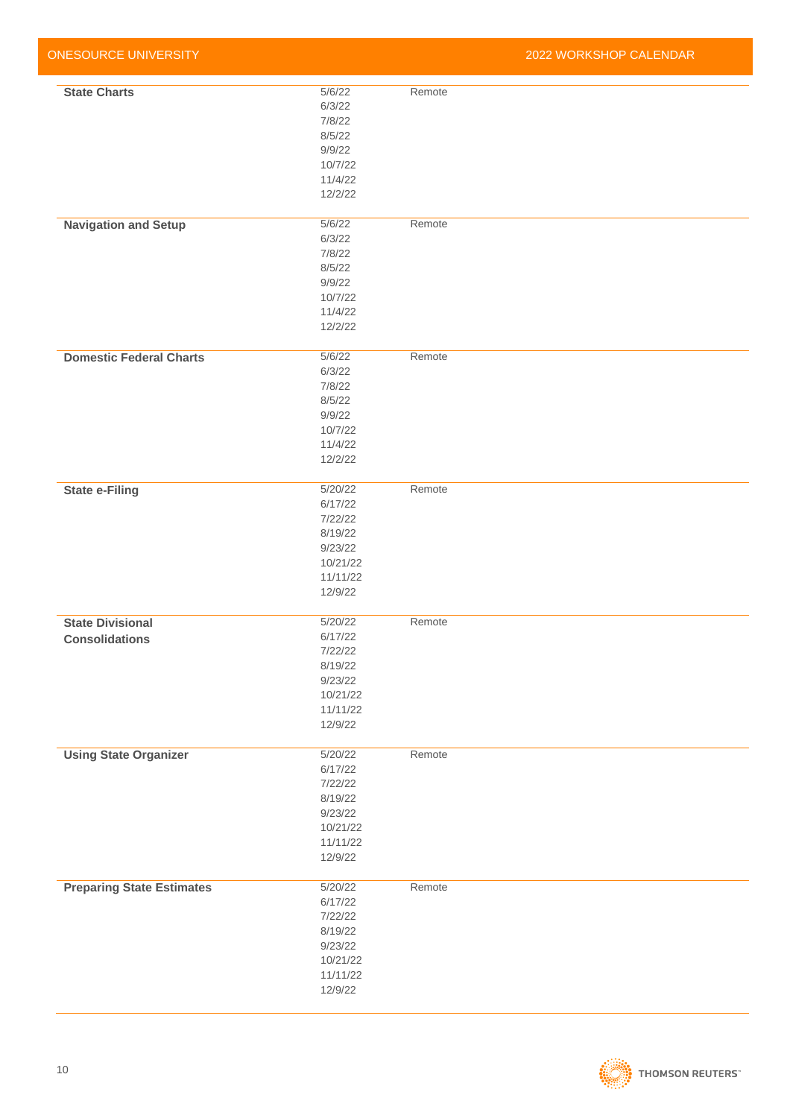| <b>ONESOURCE UNIVERSITY</b>                      |                                                                                        |        | 2022 WORKSHOP CALENDAR |
|--------------------------------------------------|----------------------------------------------------------------------------------------|--------|------------------------|
| <b>State Charts</b>                              | 5/6/22<br>6/3/22<br>7/8/22<br>8/5/22<br>9/9/22<br>10/7/22<br>11/4/22<br>12/2/22        | Remote |                        |
| <b>Navigation and Setup</b>                      | 5/6/22<br>6/3/22<br>7/8/22<br>8/5/22<br>9/9/22<br>10/7/22<br>11/4/22<br>12/2/22        | Remote |                        |
| <b>Domestic Federal Charts</b>                   | 5/6/22<br>6/3/22<br>7/8/22<br>8/5/22<br>9/9/22<br>10/7/22<br>11/4/22<br>12/2/22        | Remote |                        |
| <b>State e-Filing</b>                            | 5/20/22<br>6/17/22<br>7/22/22<br>8/19/22<br>9/23/22<br>10/21/22<br>11/11/22<br>12/9/22 | Remote |                        |
| <b>State Divisional</b><br><b>Consolidations</b> | 5/20/22<br>6/17/22<br>7/22/22<br>8/19/22<br>9/23/22<br>10/21/22<br>11/11/22<br>12/9/22 | Remote |                        |
| <b>Using State Organizer</b>                     | 5/20/22<br>6/17/22<br>7/22/22<br>8/19/22<br>9/23/22<br>10/21/22<br>11/11/22<br>12/9/22 | Remote |                        |
| <b>Preparing State Estimates</b>                 | 5/20/22<br>6/17/22<br>7/22/22<br>8/19/22<br>9/23/22<br>10/21/22<br>11/11/22<br>12/9/22 | Remote |                        |

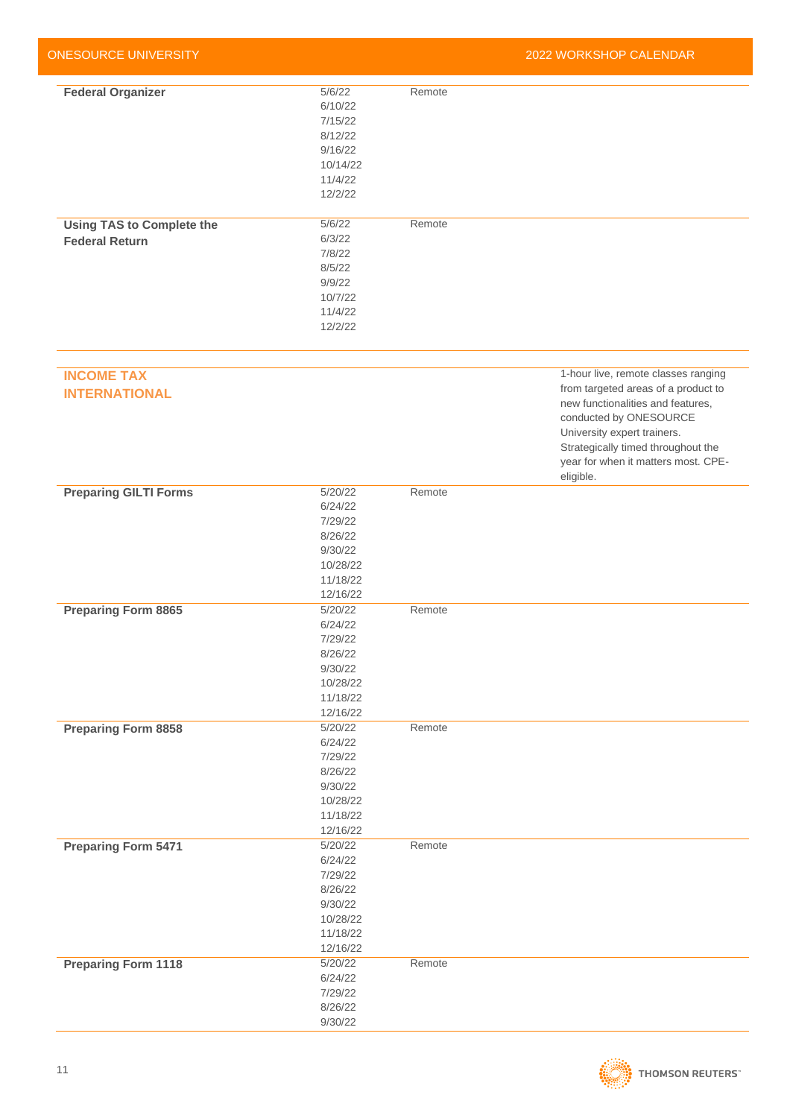| <b>ONESOURCE UNIVERSITY</b>      |          |        | 2022 WORKSHOP CALENDAR              |
|----------------------------------|----------|--------|-------------------------------------|
|                                  |          |        |                                     |
| <b>Federal Organizer</b>         | 5/6/22   | Remote |                                     |
|                                  | 6/10/22  |        |                                     |
|                                  | 7/15/22  |        |                                     |
|                                  | 8/12/22  |        |                                     |
|                                  | 9/16/22  |        |                                     |
|                                  | 10/14/22 |        |                                     |
|                                  | 11/4/22  |        |                                     |
|                                  | 12/2/22  |        |                                     |
|                                  | 5/6/22   | Remote |                                     |
| <b>Using TAS to Complete the</b> |          |        |                                     |
| <b>Federal Return</b>            | 6/3/22   |        |                                     |
|                                  | 7/8/22   |        |                                     |
|                                  | 8/5/22   |        |                                     |
|                                  | 9/9/22   |        |                                     |
|                                  | 10/7/22  |        |                                     |
|                                  | 11/4/22  |        |                                     |
|                                  | 12/2/22  |        |                                     |
|                                  |          |        |                                     |
| <b>INCOME TAX</b>                |          |        | 1-hour live, remote classes ranging |
| <b>INTERNATIONAL</b>             |          |        | from targeted areas of a product to |
|                                  |          |        | new functionalities and features,   |
|                                  |          |        | conducted by ONESOURCE              |
|                                  |          |        | University expert trainers.         |
|                                  |          |        | Strategically timed throughout the  |
|                                  |          |        | year for when it matters most. CPE- |
|                                  |          |        | eligible.                           |
| <b>Preparing GILTI Forms</b>     | 5/20/22  | Remote |                                     |
|                                  | 6/24/22  |        |                                     |
|                                  | 7/29/22  |        |                                     |
|                                  | 8/26/22  |        |                                     |
|                                  | 9/30/22  |        |                                     |
|                                  | 10/28/22 |        |                                     |
|                                  | 11/18/22 |        |                                     |
|                                  |          |        |                                     |
|                                  | 12/16/22 |        |                                     |
| <b>Preparing Form 8865</b>       | 5/20/22  | Remote |                                     |
|                                  | 6/24/22  |        |                                     |
|                                  | 7/29/22  |        |                                     |
|                                  | 8/26/22  |        |                                     |
|                                  | 9/30/22  |        |                                     |
|                                  | 10/28/22 |        |                                     |
|                                  | 11/18/22 |        |                                     |
|                                  | 12/16/22 |        |                                     |
| <b>Preparing Form 8858</b>       | 5/20/22  | Remote |                                     |
|                                  | 6/24/22  |        |                                     |
|                                  | 7/29/22  |        |                                     |
|                                  | 8/26/22  |        |                                     |
|                                  | 9/30/22  |        |                                     |
|                                  | 10/28/22 |        |                                     |
|                                  | 11/18/22 |        |                                     |
|                                  | 12/16/22 |        |                                     |
| <b>Preparing Form 5471</b>       | 5/20/22  | Remote |                                     |
|                                  | 6/24/22  |        |                                     |
|                                  | 7/29/22  |        |                                     |
|                                  | 8/26/22  |        |                                     |
|                                  |          |        |                                     |
|                                  | 9/30/22  |        |                                     |
|                                  | 10/28/22 |        |                                     |
|                                  | 11/18/22 |        |                                     |
|                                  | 12/16/22 |        |                                     |
| <b>Preparing Form 1118</b>       | 5/20/22  | Remote |                                     |
|                                  | 6/24/22  |        |                                     |
|                                  | 7/29/22  |        |                                     |
|                                  | 8/26/22  |        |                                     |
|                                  | 9/30/22  |        |                                     |

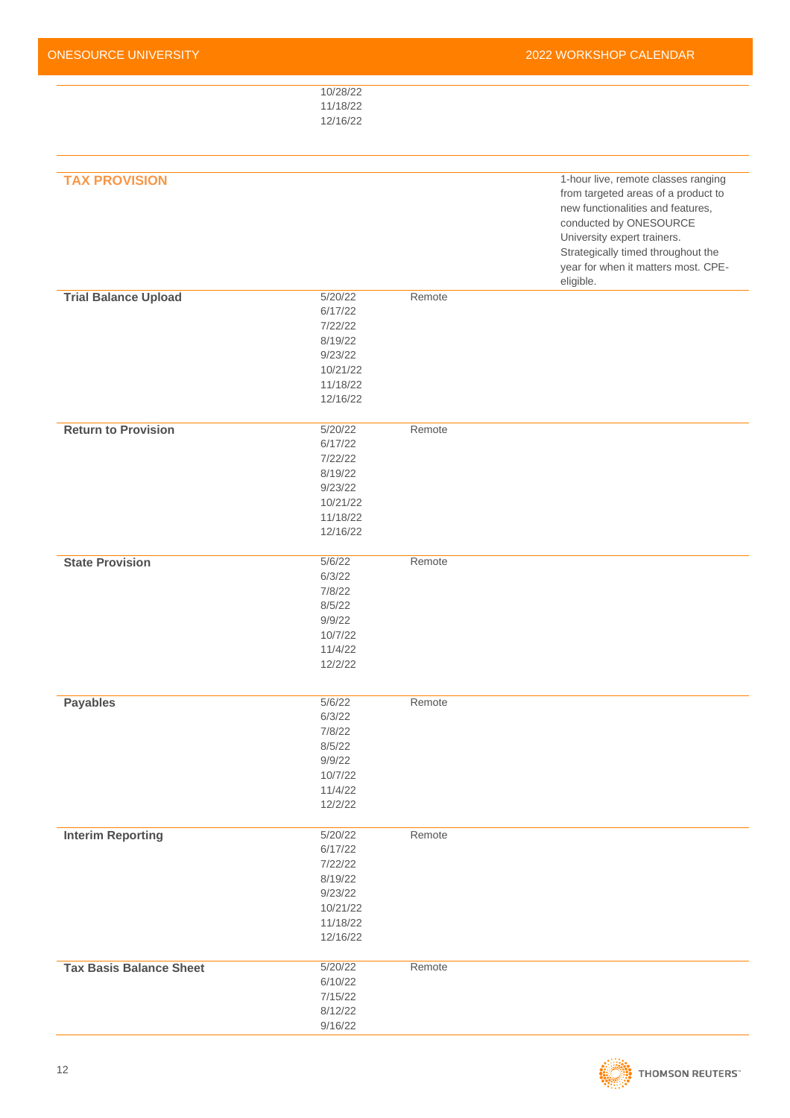| ONESOURCE UNIVERSITY           |                                                                                         |        | 2022 WORKSHOP CALENDAR                                                                                                                                                                                                                                |
|--------------------------------|-----------------------------------------------------------------------------------------|--------|-------------------------------------------------------------------------------------------------------------------------------------------------------------------------------------------------------------------------------------------------------|
|                                | 10/28/22<br>11/18/22<br>12/16/22                                                        |        |                                                                                                                                                                                                                                                       |
| <b>TAX PROVISION</b>           |                                                                                         |        | 1-hour live, remote classes ranging<br>from targeted areas of a product to<br>new functionalities and features,<br>conducted by ONESOURCE<br>University expert trainers.<br>Strategically timed throughout the<br>year for when it matters most. CPE- |
|                                |                                                                                         |        | eligible.                                                                                                                                                                                                                                             |
| <b>Trial Balance Upload</b>    | 5/20/22<br>6/17/22<br>7/22/22<br>8/19/22<br>9/23/22<br>10/21/22<br>11/18/22<br>12/16/22 | Remote |                                                                                                                                                                                                                                                       |
| <b>Return to Provision</b>     | 5/20/22<br>6/17/22<br>7/22/22<br>8/19/22<br>9/23/22<br>10/21/22<br>11/18/22<br>12/16/22 | Remote |                                                                                                                                                                                                                                                       |
| <b>State Provision</b>         | 5/6/22<br>6/3/22<br>7/8/22<br>8/5/22<br>9/9/22<br>10/7/22<br>11/4/22<br>12/2/22         | Remote |                                                                                                                                                                                                                                                       |
| <b>Payables</b>                | 5/6/22<br>6/3/22<br>7/8/22<br>8/5/22<br>9/9/22<br>10/7/22<br>11/4/22<br>12/2/22         | Remote |                                                                                                                                                                                                                                                       |
| <b>Interim Reporting</b>       | 5/20/22<br>6/17/22<br>7/22/22<br>8/19/22<br>9/23/22<br>10/21/22<br>11/18/22<br>12/16/22 | Remote |                                                                                                                                                                                                                                                       |
| <b>Tax Basis Balance Sheet</b> | 5/20/22<br>6/10/22<br>7/15/22<br>8/12/22<br>9/16/22                                     | Remote |                                                                                                                                                                                                                                                       |

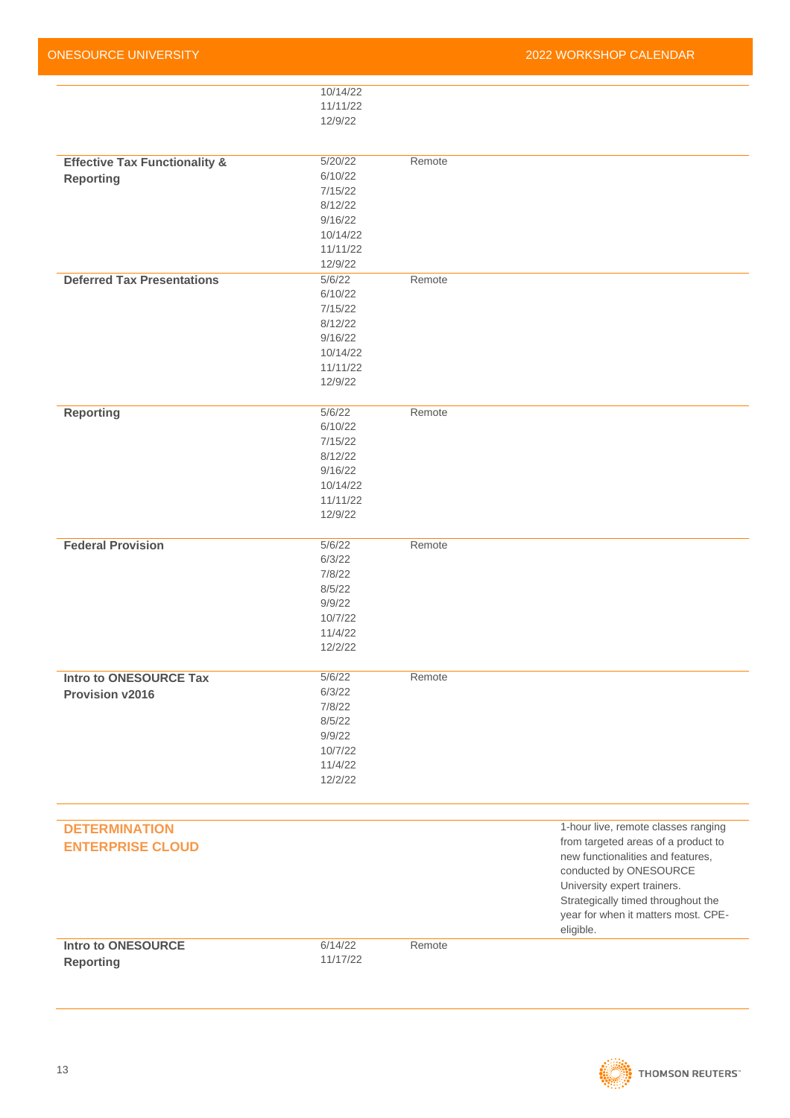| 10/14/22<br>11/11/22<br>12/9/22<br>5/20/22<br>Remote<br><b>Effective Tax Functionality &amp;</b><br>6/10/22<br><b>Reporting</b><br>7/15/22<br>8/12/22<br>9/16/22<br>10/14/22<br>11/11/22<br>12/9/22<br>5/6/22<br>Remote<br><b>Deferred Tax Presentations</b><br>6/10/22<br>7/15/22<br>8/12/22<br>9/16/22<br>10/14/22<br>11/11/22<br>12/9/22<br><b>Reporting</b><br>5/6/22<br>Remote<br>6/10/22<br>7/15/22<br>8/12/22<br>9/16/22<br>10/14/22<br>11/11/22<br>12/9/22<br><b>Federal Provision</b><br>5/6/22<br>Remote<br>6/3/22<br>7/8/22<br>8/5/22<br>9/9/22<br>10/7/22<br>11/4/22<br>12/2/22<br><b>Intro to ONESOURCE Tax</b><br>5/6/22<br>Remote<br>6/3/22<br><b>Provision v2016</b><br>7/8/22<br>8/5/22<br>9/9/22<br>10/7/22<br>11/4/22<br>12/2/22<br><b>DETERMINATION</b><br>from targeted areas of a product to<br><b>ENTERPRISE CLOUD</b><br>new functionalities and features,<br>conducted by ONESOURCE<br>University expert trainers.<br>Strategically timed throughout the<br>year for when it matters most. CPE-<br>eligible.<br>6/14/22<br><b>Intro to ONESOURCE</b><br>Remote |          | 2022 WORKSHOP CALENDAR              |
|-----------------------------------------------------------------------------------------------------------------------------------------------------------------------------------------------------------------------------------------------------------------------------------------------------------------------------------------------------------------------------------------------------------------------------------------------------------------------------------------------------------------------------------------------------------------------------------------------------------------------------------------------------------------------------------------------------------------------------------------------------------------------------------------------------------------------------------------------------------------------------------------------------------------------------------------------------------------------------------------------------------------------------------------------------------------------------------------|----------|-------------------------------------|
|                                                                                                                                                                                                                                                                                                                                                                                                                                                                                                                                                                                                                                                                                                                                                                                                                                                                                                                                                                                                                                                                                         |          |                                     |
|                                                                                                                                                                                                                                                                                                                                                                                                                                                                                                                                                                                                                                                                                                                                                                                                                                                                                                                                                                                                                                                                                         |          |                                     |
|                                                                                                                                                                                                                                                                                                                                                                                                                                                                                                                                                                                                                                                                                                                                                                                                                                                                                                                                                                                                                                                                                         |          |                                     |
|                                                                                                                                                                                                                                                                                                                                                                                                                                                                                                                                                                                                                                                                                                                                                                                                                                                                                                                                                                                                                                                                                         |          |                                     |
|                                                                                                                                                                                                                                                                                                                                                                                                                                                                                                                                                                                                                                                                                                                                                                                                                                                                                                                                                                                                                                                                                         |          |                                     |
|                                                                                                                                                                                                                                                                                                                                                                                                                                                                                                                                                                                                                                                                                                                                                                                                                                                                                                                                                                                                                                                                                         |          |                                     |
|                                                                                                                                                                                                                                                                                                                                                                                                                                                                                                                                                                                                                                                                                                                                                                                                                                                                                                                                                                                                                                                                                         |          |                                     |
|                                                                                                                                                                                                                                                                                                                                                                                                                                                                                                                                                                                                                                                                                                                                                                                                                                                                                                                                                                                                                                                                                         |          |                                     |
|                                                                                                                                                                                                                                                                                                                                                                                                                                                                                                                                                                                                                                                                                                                                                                                                                                                                                                                                                                                                                                                                                         |          |                                     |
|                                                                                                                                                                                                                                                                                                                                                                                                                                                                                                                                                                                                                                                                                                                                                                                                                                                                                                                                                                                                                                                                                         |          |                                     |
|                                                                                                                                                                                                                                                                                                                                                                                                                                                                                                                                                                                                                                                                                                                                                                                                                                                                                                                                                                                                                                                                                         |          |                                     |
|                                                                                                                                                                                                                                                                                                                                                                                                                                                                                                                                                                                                                                                                                                                                                                                                                                                                                                                                                                                                                                                                                         |          |                                     |
|                                                                                                                                                                                                                                                                                                                                                                                                                                                                                                                                                                                                                                                                                                                                                                                                                                                                                                                                                                                                                                                                                         |          |                                     |
|                                                                                                                                                                                                                                                                                                                                                                                                                                                                                                                                                                                                                                                                                                                                                                                                                                                                                                                                                                                                                                                                                         |          |                                     |
|                                                                                                                                                                                                                                                                                                                                                                                                                                                                                                                                                                                                                                                                                                                                                                                                                                                                                                                                                                                                                                                                                         |          |                                     |
|                                                                                                                                                                                                                                                                                                                                                                                                                                                                                                                                                                                                                                                                                                                                                                                                                                                                                                                                                                                                                                                                                         |          |                                     |
|                                                                                                                                                                                                                                                                                                                                                                                                                                                                                                                                                                                                                                                                                                                                                                                                                                                                                                                                                                                                                                                                                         |          |                                     |
|                                                                                                                                                                                                                                                                                                                                                                                                                                                                                                                                                                                                                                                                                                                                                                                                                                                                                                                                                                                                                                                                                         |          |                                     |
|                                                                                                                                                                                                                                                                                                                                                                                                                                                                                                                                                                                                                                                                                                                                                                                                                                                                                                                                                                                                                                                                                         |          |                                     |
|                                                                                                                                                                                                                                                                                                                                                                                                                                                                                                                                                                                                                                                                                                                                                                                                                                                                                                                                                                                                                                                                                         |          |                                     |
|                                                                                                                                                                                                                                                                                                                                                                                                                                                                                                                                                                                                                                                                                                                                                                                                                                                                                                                                                                                                                                                                                         |          |                                     |
|                                                                                                                                                                                                                                                                                                                                                                                                                                                                                                                                                                                                                                                                                                                                                                                                                                                                                                                                                                                                                                                                                         |          |                                     |
|                                                                                                                                                                                                                                                                                                                                                                                                                                                                                                                                                                                                                                                                                                                                                                                                                                                                                                                                                                                                                                                                                         |          |                                     |
|                                                                                                                                                                                                                                                                                                                                                                                                                                                                                                                                                                                                                                                                                                                                                                                                                                                                                                                                                                                                                                                                                         |          |                                     |
|                                                                                                                                                                                                                                                                                                                                                                                                                                                                                                                                                                                                                                                                                                                                                                                                                                                                                                                                                                                                                                                                                         |          |                                     |
|                                                                                                                                                                                                                                                                                                                                                                                                                                                                                                                                                                                                                                                                                                                                                                                                                                                                                                                                                                                                                                                                                         |          |                                     |
|                                                                                                                                                                                                                                                                                                                                                                                                                                                                                                                                                                                                                                                                                                                                                                                                                                                                                                                                                                                                                                                                                         |          |                                     |
|                                                                                                                                                                                                                                                                                                                                                                                                                                                                                                                                                                                                                                                                                                                                                                                                                                                                                                                                                                                                                                                                                         |          |                                     |
|                                                                                                                                                                                                                                                                                                                                                                                                                                                                                                                                                                                                                                                                                                                                                                                                                                                                                                                                                                                                                                                                                         |          |                                     |
|                                                                                                                                                                                                                                                                                                                                                                                                                                                                                                                                                                                                                                                                                                                                                                                                                                                                                                                                                                                                                                                                                         |          |                                     |
|                                                                                                                                                                                                                                                                                                                                                                                                                                                                                                                                                                                                                                                                                                                                                                                                                                                                                                                                                                                                                                                                                         |          |                                     |
|                                                                                                                                                                                                                                                                                                                                                                                                                                                                                                                                                                                                                                                                                                                                                                                                                                                                                                                                                                                                                                                                                         |          |                                     |
|                                                                                                                                                                                                                                                                                                                                                                                                                                                                                                                                                                                                                                                                                                                                                                                                                                                                                                                                                                                                                                                                                         |          |                                     |
|                                                                                                                                                                                                                                                                                                                                                                                                                                                                                                                                                                                                                                                                                                                                                                                                                                                                                                                                                                                                                                                                                         |          |                                     |
|                                                                                                                                                                                                                                                                                                                                                                                                                                                                                                                                                                                                                                                                                                                                                                                                                                                                                                                                                                                                                                                                                         |          |                                     |
|                                                                                                                                                                                                                                                                                                                                                                                                                                                                                                                                                                                                                                                                                                                                                                                                                                                                                                                                                                                                                                                                                         |          |                                     |
|                                                                                                                                                                                                                                                                                                                                                                                                                                                                                                                                                                                                                                                                                                                                                                                                                                                                                                                                                                                                                                                                                         |          |                                     |
|                                                                                                                                                                                                                                                                                                                                                                                                                                                                                                                                                                                                                                                                                                                                                                                                                                                                                                                                                                                                                                                                                         |          |                                     |
|                                                                                                                                                                                                                                                                                                                                                                                                                                                                                                                                                                                                                                                                                                                                                                                                                                                                                                                                                                                                                                                                                         |          |                                     |
|                                                                                                                                                                                                                                                                                                                                                                                                                                                                                                                                                                                                                                                                                                                                                                                                                                                                                                                                                                                                                                                                                         |          |                                     |
|                                                                                                                                                                                                                                                                                                                                                                                                                                                                                                                                                                                                                                                                                                                                                                                                                                                                                                                                                                                                                                                                                         |          |                                     |
|                                                                                                                                                                                                                                                                                                                                                                                                                                                                                                                                                                                                                                                                                                                                                                                                                                                                                                                                                                                                                                                                                         |          |                                     |
|                                                                                                                                                                                                                                                                                                                                                                                                                                                                                                                                                                                                                                                                                                                                                                                                                                                                                                                                                                                                                                                                                         |          |                                     |
|                                                                                                                                                                                                                                                                                                                                                                                                                                                                                                                                                                                                                                                                                                                                                                                                                                                                                                                                                                                                                                                                                         |          | 1-hour live, remote classes ranging |
|                                                                                                                                                                                                                                                                                                                                                                                                                                                                                                                                                                                                                                                                                                                                                                                                                                                                                                                                                                                                                                                                                         |          |                                     |
|                                                                                                                                                                                                                                                                                                                                                                                                                                                                                                                                                                                                                                                                                                                                                                                                                                                                                                                                                                                                                                                                                         |          |                                     |
|                                                                                                                                                                                                                                                                                                                                                                                                                                                                                                                                                                                                                                                                                                                                                                                                                                                                                                                                                                                                                                                                                         |          |                                     |
|                                                                                                                                                                                                                                                                                                                                                                                                                                                                                                                                                                                                                                                                                                                                                                                                                                                                                                                                                                                                                                                                                         |          |                                     |
|                                                                                                                                                                                                                                                                                                                                                                                                                                                                                                                                                                                                                                                                                                                                                                                                                                                                                                                                                                                                                                                                                         |          |                                     |
|                                                                                                                                                                                                                                                                                                                                                                                                                                                                                                                                                                                                                                                                                                                                                                                                                                                                                                                                                                                                                                                                                         |          |                                     |
|                                                                                                                                                                                                                                                                                                                                                                                                                                                                                                                                                                                                                                                                                                                                                                                                                                                                                                                                                                                                                                                                                         |          |                                     |
|                                                                                                                                                                                                                                                                                                                                                                                                                                                                                                                                                                                                                                                                                                                                                                                                                                                                                                                                                                                                                                                                                         | 11/17/22 |                                     |
| <b>Reporting</b>                                                                                                                                                                                                                                                                                                                                                                                                                                                                                                                                                                                                                                                                                                                                                                                                                                                                                                                                                                                                                                                                        |          |                                     |